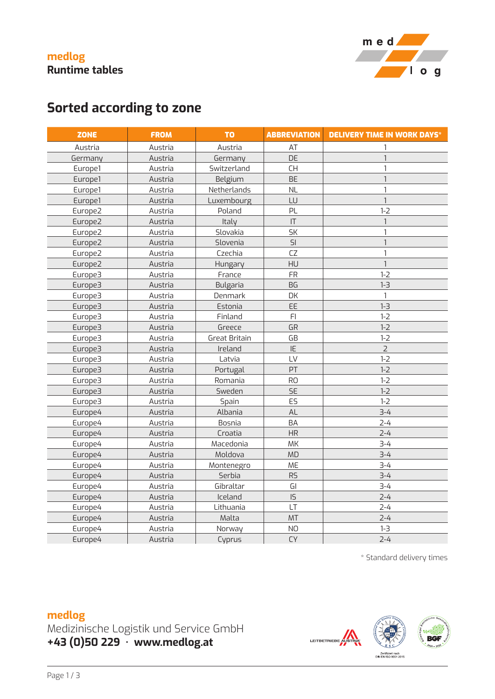



# **Sorted according to zone**

| <b>ZONE</b> | <b>FROM</b> | <b>TO</b>     | <b>ABBREVIATION</b>    | <b>DELIVERY TIME IN WORK DAYS*</b> |
|-------------|-------------|---------------|------------------------|------------------------------------|
| Austria     | Austria     | Austria       | AT                     |                                    |
| Germany     | Austria     | Germany       | DE                     | $\mathbf{1}$                       |
| Europe1     | Austria     | Switzerland   | <b>CH</b>              | 1                                  |
| Europe1     | Austria     | Belgium       | <b>BE</b>              |                                    |
| Europe1     | Austria     | Netherlands   | <b>NL</b>              |                                    |
| Europe1     | Austria     | Luxembourg    | LU                     |                                    |
| Europe2     | Austria     | Poland        | PL                     | $1 - 2$                            |
| Europe2     | Austria     | Italy         | $\mathsf{I}\mathsf{T}$ | $\mathbf{1}$                       |
| Europe2     | Austria     | Slovakia      | <b>SK</b>              |                                    |
| Europe2     | Austria     | Slovenia      | SI                     | $\mathbf{1}$                       |
| Europe2     | Austria     | Czechia       | CZ                     | $\mathbf{1}$                       |
| Europe2     | Austria     | Hungary       | HU                     | $\mathbf{1}$                       |
| Europe3     | Austria     | France        | <b>FR</b>              | $1 - 2$                            |
| Europe3     | Austria     | Bulgaria      | <b>BG</b>              | $1 - 3$                            |
| Europe3     | Austria     | Denmark       | DK                     | 1                                  |
| Europe3     | Austria     | Estonia       | EE                     | $1 - 3$                            |
| Europe3     | Austria     | Finland       | F <sub>l</sub>         | $1 - 2$                            |
| Europe3     | Austria     | Greece        | GR                     | $1 - 2$                            |
| Europe3     | Austria     | Great Britain | GB                     | $1 - 2$                            |
| Europe3     | Austria     | Ireland       | IE                     | $\overline{2}$                     |
| Europe3     | Austria     | Latvia        | LV                     | $1 - 2$                            |
| Europe3     | Austria     | Portugal      | PT                     | $1 - 2$                            |
| Europe3     | Austria     | Romania       | <b>RO</b>              | $1 - 2$                            |
| Europe3     | Austria     | Sweden        | SE                     | $1 - 2$                            |
| Europe3     | Austria     | Spain         | ES                     | $1-2$                              |
| Europe4     | Austria     | Albania       | AL                     | $3 - 4$                            |
| Europe4     | Austria     | Bosnia        | <b>BA</b>              | $2 - 4$                            |
| Europe4     | Austria     | Croatia       | <b>HR</b>              | $2 - 4$                            |
| Europe4     | Austria     | Macedonia     | MK                     | $3 - 4$                            |
| Europe4     | Austria     | Moldova       | <b>MD</b>              | $3 - 4$                            |
| Europe4     | Austria     | Montenegro    | ME                     | $3 - 4$                            |
| Europe4     | Austria     | Serbia        | <b>RS</b>              | $3 - 4$                            |
| Europe4     | Austria     | Gibraltar     | GI                     | $3 - 4$                            |
| Europe4     | Austria     | Iceland       | IS                     | $2 - 4$                            |
| Europe4     | Austria     | Lithuania     | LT                     | $2 - 4$                            |
| Europe4     | Austria     | Malta         | MT                     | $2 - 4$                            |
| Europe4     | Austria     | Norway        | <b>NO</b>              | $1 - 3$                            |
| Europe4     | Austria     | Cyprus        | <b>CY</b>              | $2 - 4$                            |

\* Standard delivery times

#### **medlog**

Medizinische Logistik und Service GmbH **+43 (0)50 229 · www.medlog.at**

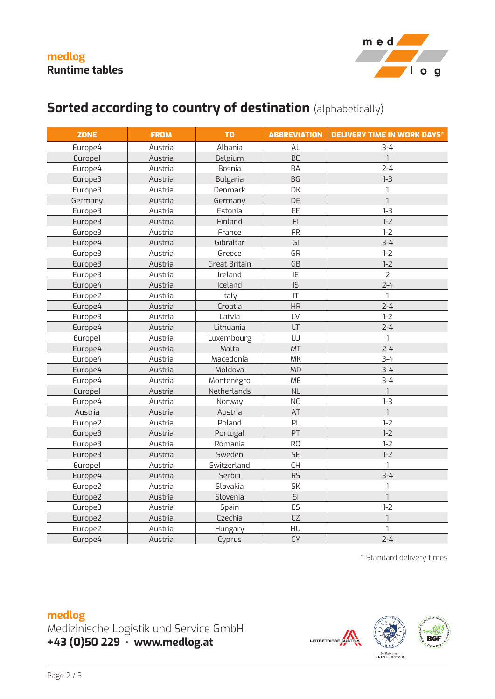

## **Sorted according to country of destination** (alphabetically)

| <b>ZONE</b> | <b>FROM</b> | <b>TO</b>            | <b>ABBREVIATION</b> | <b>DELIVERY TIME IN WORK DAYS*</b> |
|-------------|-------------|----------------------|---------------------|------------------------------------|
| Europe4     | Austria     | Albania              | AL                  | $3 - 4$                            |
| Europe1     | Austria     | Belgium              | <b>BE</b>           | $\mathbf{1}$                       |
| Europe4     | Austria     | Bosnia               | <b>BA</b>           | $2 - 4$                            |
| Europe3     | Austria     | Bulgaria             | <b>BG</b>           | $1 - 3$                            |
| Europe3     | Austria     | Denmark              | DK                  | $\mathbf{1}$                       |
| Germany     | Austria     | Germany              | DE                  | $\mathbf{1}$                       |
| Europe3     | Austria     | Estonia              | EE                  | $1 - 3$                            |
| Europe3     | Austria     | Finland              | F <sub>l</sub>      | $1-2$                              |
| Europe3     | Austria     | France               | FR                  | $1 - 2$                            |
| Europe4     | Austria     | Gibraltar            | GI                  | $3 - 4$                            |
| Europe3     | Austria     | Greece               | GR                  | $1-2$                              |
| Europe3     | Austria     | <b>Great Britain</b> | GB                  | $1-2$                              |
| Europe3     | Austria     | Ireland              | IE                  | $\overline{2}$                     |
| Europe4     | Austria     | Iceland              | IS                  | $2 - 4$                            |
| Europe2     | Austria     | Italy                | T                   | $\mathbf{1}$                       |
| Europe4     | Austria     | Croatia              | HR                  | $2 - 4$                            |
| Europe3     | Austria     | Latvia               | LV                  | $1 - 2$                            |
| Europe4     | Austria     | Lithuania            | LT                  | $2 - 4$                            |
| Europe1     | Austria     | Luxembourg           | LU                  | $\mathbf{1}$                       |
| Europe4     | Austria     | Malta                | MT                  | $2 - 4$                            |
| Europe4     | Austria     | Macedonia            | MK                  | $3 - 4$                            |
| Europe4     | Austria     | Moldova              | <b>MD</b>           | $3 - 4$                            |
| Europe4     | Austria     | Montenegro           | ME                  | $3 - 4$                            |
| Europe1     | Austria     | Netherlands          | <b>NL</b>           | $\mathbf{1}$                       |
| Europe4     | Austria     | Norway               | <b>NO</b>           | $1 - 3$                            |
| Austria     | Austria     | Austria              | AT                  | $\mathbf{1}$                       |
| Europe2     | Austria     | Poland               | PL                  | $1-2$                              |
| Europe3     | Austria     | Portugal             | PT                  | $1-2$                              |
| Europe3     | Austria     | Romania              | <b>RO</b>           | $1 - 2$                            |
| Europe3     | Austria     | Sweden               | <b>SE</b>           | $1 - 2$                            |
| Europe1     | Austria     | Switzerland          | <b>CH</b>           | $\mathbf{1}$                       |
| Europe4     | Austria     | Serbia               | RS                  | $3 - 4$                            |
| Europe2     | Austria     | Slovakia             | <b>SK</b>           | 1                                  |
| Europe2     | Austria     | Slovenia             | SI                  | $\mathbf{1}$                       |
| Europe3     | Austria     | Spain                | ES                  | $1-2$                              |
| Europe2     | Austria     | Czechia              | CZ                  | $\mathbf{1}$                       |
| Europe2     | Austria     | Hungary              | HU                  | 1                                  |
| Europe4     | Austria     | Cyprus               | CY                  | $2 - 4$                            |

\* Standard delivery times

### **medlog**

Medizinische Logistik und Service GmbH **+43 (0)50 229 · www.medlog.at**